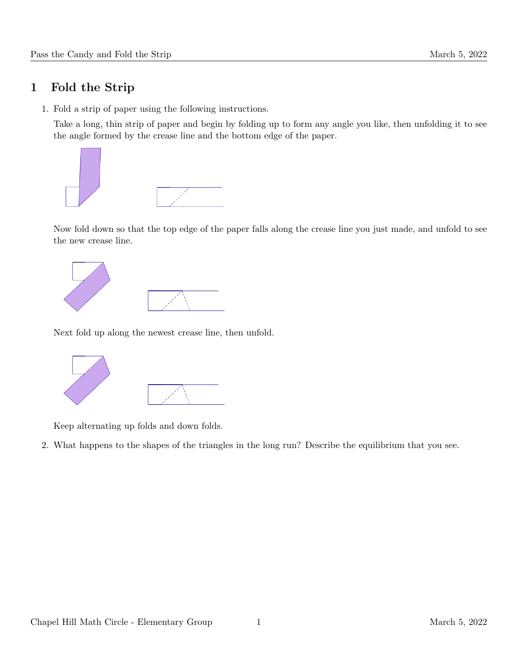## 1 Fold the Strip

1. Fold a strip of paper using the following instructions.

Take a long, thin strip of paper and begin by folding up to form any angle you like, then unfolding it to see the angle formed by the crease line and the bottom edge of the paper.



Now fold down so that the top edge of the paper falls along the crease line you just made, and unfold to see the new crease line.



Next fold up along the newest crease line, then unfold.



Keep alternating up folds and down folds.

2. What happens to the shapes of the triangles in the long run? Describe the equilibrium that you see.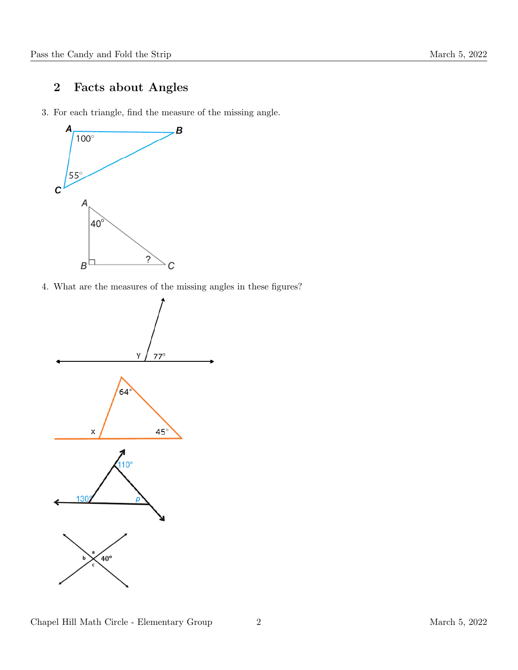## 2 Facts about Angles

3. For each triangle, find the measure of the missing angle.



4. What are the measures of the missing angles in these figures?

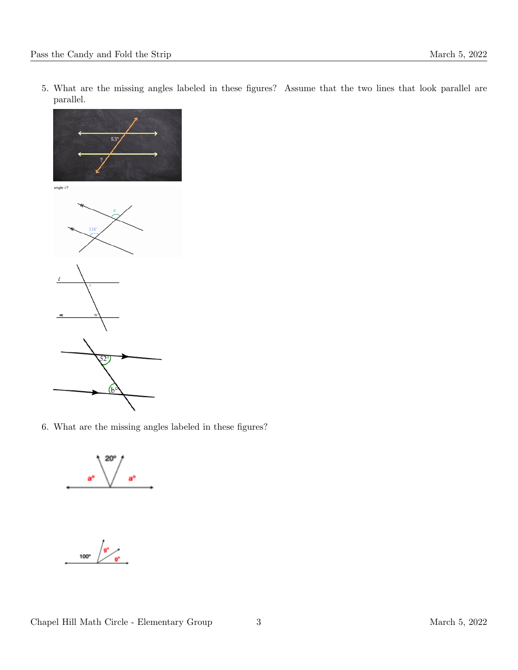5. What are the missing angles labeled in these figures? Assume that the two lines that look parallel are parallel.



6. What are the missing angles labeled in these figures?

aª

 $\int_{\mathbf{g}^{\circ}}$  $100^\circ$